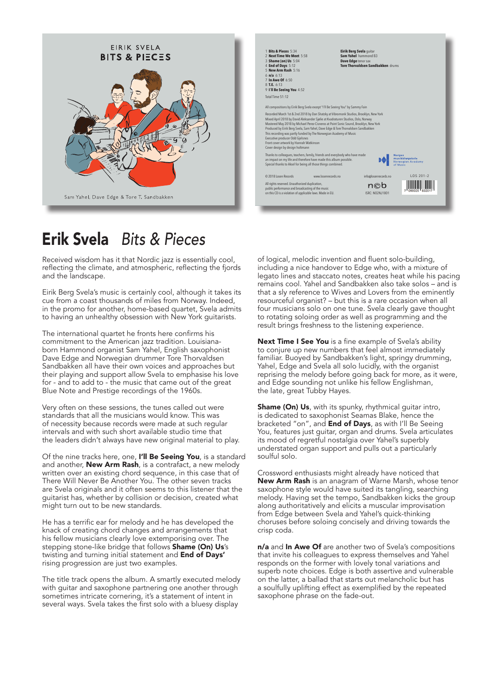



# Erik Svela Bits & Pieces ik Svela B

reflecting the climate, and atmospheric, reflecting the fjords Received wisdom has it that Nordic jazz is essentially cool, and the landscape.

to having an unhealthy obsession with New York guitarists. in the promo for another, home-based quartet, Svela admits cue from a coast thousands of miles from Norway. Indeed, Eirik Berg Svela's music is certainly cool, although it takes its

Dave Edge and Norwegian drummer Tore Thorvaldsen born Hammond organist Sam Yahel, English saxophonist commitment to the American jazz tradition. Louisiana-The international quartet he fronts here confirms his Sandbakken all have their own voices and approaches but their playing and support allow Svela to emphasise his love for - and to add to - the music that came out of the great Blue Note and Prestige recordings of the 1960s.

Very often on these sessions, the tunes called out were standards that all the musicians would know. This was of necessity because records were made at such regular intervals and with such short available studio time that the leaders didn't always have new original material to play.

Of the nine tracks here, one, I'll Be Seeing You, is a standard and another, **New Arm Rash**, is a contrafact, a new melody written over an existing chord sequence, in this case that of There Will Never Be Another You. The other seven tracks are Svela originals and it often seems to this listener that the guitarist has, whether by collision or decision, created what might turn out to be new standards.

He has a terrific ear for melody and he has developed the knack of creating chord changes and arrangements that his fellow musicians clearly love extemporising over. The stepping stone-like bridge that follows Shame (On) Us's twisting and turning initial statement and End of Days' rising progression are just two examples.

The title track opens the album. A smartly executed melody with quitar and saxophone partnering one another through sometimes intricate cornering, it's a statement of intent in several ways. Svela takes the first solo with a bluesy display

brings freshness to the listening experience.  $\overline{\phantom{a}}$ to rotating soloing order as well as programming and the four musicians solo on one tune. Svela clearly gave thought resourceful organist? – but this is a rare occasion when all that a sly reference to Wives and Lovers from the eminently remains cool. Yahel and Sandbakken also take solos - and is legato lines and staccato notes, creates heat while his pacing including a nice handover to Edge who, with a mixture of of logical, melodic invention and fluent solo-building, result brings freshness to the listening experience.

familiar. Buoyed by Sandbakken's light, springy drumming, to conjure up new numbers that feel almost immediately Next Time I See You is a fine example of Svela's ability Yahel, Edge and Svela all solo lucidly, with the organist reprising the melody before going back for more, as it were, and Edge sounding not unlike his fellow Englishman, the late, great Tubby Hayes.

Shame (On) Us, with its spunky, rhythmical guitar intro, is dedicated to saxophonist Seamas Blake, hence the bracketed "on", and **End of Days**, as with I'll Be Seeing You, features just guitar, organ and drums. Svela articulates its mood of regretful nostalgia over Yahel's superbly understated organ support and pulls out a particularly soulful solo.

Crossword enthusiasts might already have noticed that New Arm Rash is an anagram of Warne Marsh, whose tenor saxophone style would have suited its tangling, searching melody. Having set the tempo, Sandbakken kicks the group along authoritatively and elicits a muscular improvisation from Edge between Svela and Yahel's quick-thinking choruses before soloing concisely and driving towards the crisp coda.

n/a and In Awe Of are another two of Svela's compositions that invite his colleagues to express themselves and Yahel responds on the former with lovely tonal variations and superb note choices. Edge is both assertive and vulnerable on the latter, a ballad that starts out melancholic but has a soulfully uplifting effect as exemplified by the repeated saxophone phrase on the fade-out.